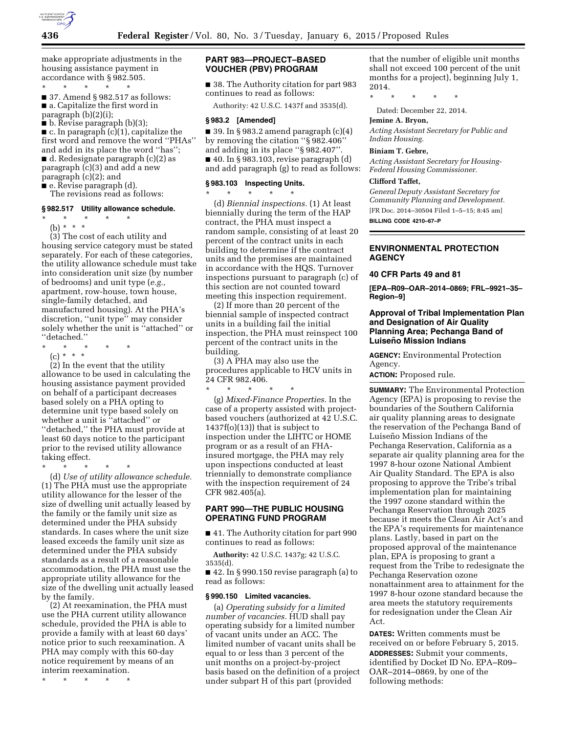

make appropriate adjustments in the housing assistance payment in accordance with § 982.505.

\* \* \* \* \* ■ 37. Amend § 982.517 as follows: ■ a. Capitalize the first word in paragraph (b)(2)(i);

■ b. Revise paragraph (b)(3);

■ c. In paragraph (c)(1), capitalize the first word and remove the word ''PHAs'' and add in its place the word ''has''; ■ d. Redesignate paragraph (c)(2) as paragraph (c)(3) and add a new paragraph (c)(2); and

■ e. Revise paragraph (d).

The revisions read as follows:

# **§ 982.517 Utility allowance schedule.**

\* \* \* \* \*

(b) \* \* \*

(3) The cost of each utility and housing service category must be stated separately. For each of these categories, the utility allowance schedule must take into consideration unit size (by number of bedrooms) and unit type (*e.g.,*  apartment, row-house, town house, single-family detached, and manufactured housing). At the PHA's discretion, ''unit type'' may consider solely whether the unit is ''attached'' or ''detached.''

- \* \* \* \* \*
- (c) \* \* \*

(2) In the event that the utility allowance to be used in calculating the housing assistance payment provided on behalf of a participant decreases based solely on a PHA opting to determine unit type based solely on whether a unit is ''attached'' or ''detached,'' the PHA must provide at least 60 days notice to the participant prior to the revised utility allowance taking effect.

\* \* \* \* \* (d) *Use of utility allowance schedule.*  (1) The PHA must use the appropriate utility allowance for the lesser of the size of dwelling unit actually leased by the family or the family unit size as determined under the PHA subsidy standards. In cases where the unit size leased exceeds the family unit size as determined under the PHA subsidy standards as a result of a reasonable

accommodation, the PHA must use the appropriate utility allowance for the size of the dwelling unit actually leased by the family.

(2) At reexamination, the PHA must use the PHA current utility allowance schedule, provided the PHA is able to provide a family with at least 60 days' notice prior to such reexamination. A PHA may comply with this 60-day notice requirement by means of an interim reexamination.

\* \* \* \* \*

# **PART 983—PROJECT–BASED VOUCHER (PBV) PROGRAM**

■ 38. The Authority citation for part 983 continues to read as follows:

Authority: 42 U.S.C. 1437f and 3535(d).

# **§ 983.2 [Amended]**

■ 39. In § 983.2 amend paragraph  $(c)(4)$ by removing the citation ''§ 982.406'' and adding in its place ''§ 982.407''.  $\blacksquare$  40. In § 983.103, revise paragraph (d) and add paragraph (g) to read as follows:

#### **§ 983.103 Inspecting Units.**  \* \* \* \* \*

(d) *Biennial inspections.* (1) At least biennially during the term of the HAP contract, the PHA must inspect a random sample, consisting of at least 20 percent of the contract units in each building to determine if the contract units and the premises are maintained in accordance with the HQS. Turnover inspections pursuant to paragraph (c) of this section are not counted toward meeting this inspection requirement.

(2) If more than 20 percent of the biennial sample of inspected contract units in a building fail the initial inspection, the PHA must reinspect 100 percent of the contract units in the building.

(3) A PHA may also use the procedures applicable to HCV units in 24 CFR 982.406.

\* \* \* \* \*

(g) *Mixed-Finance Properties.* In the case of a property assisted with projectbased vouchers (authorized at 42 U.S.C. 1437f(o)(13)) that is subject to inspection under the LIHTC or HOME program or as a result of an FHAinsured mortgage, the PHA may rely upon inspections conducted at least triennially to demonstrate compliance with the inspection requirement of 24 CFR 982.405(a).

# **PART 990—THE PUBLIC HOUSING OPERATING FUND PROGRAM**

■ 41. The Authority citation for part 990 continues to read as follows:

**Authority:** 42 U.S.C. 1437g; 42 U.S.C. 3535(d).

 $\blacksquare$  42. In § 990.150 revise paragraph (a) to read as follows:

#### **§ 990.150 Limited vacancies.**

(a) *Operating subsidy for a limited number of vacancies.* HUD shall pay operating subsidy for a limited number of vacant units under an ACC. The limited number of vacant units shall be equal to or less than 3 percent of the unit months on a project-by-project basis based on the definition of a project under subpart H of this part (provided

that the number of eligible unit months shall not exceed 100 percent of the unit months for a project), beginning July 1, 2014.

\* \* \* \* \*

Dated: December 22, 2014.

# **Jemine A. Bryon,**

*Acting Assistant Secretary for Public and Indian Housing.* 

#### **Biniam T. Gebre,**

*Acting Assistant Secretary for Housing-Federal Housing Commissioner.* 

## **Clifford Taffet,**

*General Deputy Assistant Secretary for Community Planning and Development.*  [FR Doc. 2014–30504 Filed 1–5–15; 8:45 am] **BILLING CODE 4210–67–P** 

# **ENVIRONMENTAL PROTECTION AGENCY**

#### **40 CFR Parts 49 and 81**

**[EPA–R09–OAR–2014–0869; FRL–9921–35– Region–9]** 

## **Approval of Tribal Implementation Plan and Designation of Air Quality Planning Area; Pechanga Band of Luisen˜o Mission Indians**

**AGENCY:** Environmental Protection Agency.

**ACTION:** Proposed rule.

**SUMMARY:** The Environmental Protection Agency (EPA) is proposing to revise the boundaries of the Southern California air quality planning areas to designate the reservation of the Pechanga Band of Luiseño Mission Indians of the Pechanga Reservation, California as a separate air quality planning area for the 1997 8-hour ozone National Ambient Air Quality Standard. The EPA is also proposing to approve the Tribe's tribal implementation plan for maintaining the 1997 ozone standard within the Pechanga Reservation through 2025 because it meets the Clean Air Act's and the EPA's requirements for maintenance plans. Lastly, based in part on the proposed approval of the maintenance plan, EPA is proposing to grant a request from the Tribe to redesignate the Pechanga Reservation ozone nonattainment area to attainment for the 1997 8-hour ozone standard because the area meets the statutory requirements for redesignation under the Clean Air Act.

**DATES:** Written comments must be received on or before February 5, 2015. **ADDRESSES:** Submit your comments, identified by Docket ID No. EPA–R09– OAR–2014–0869, by one of the following methods: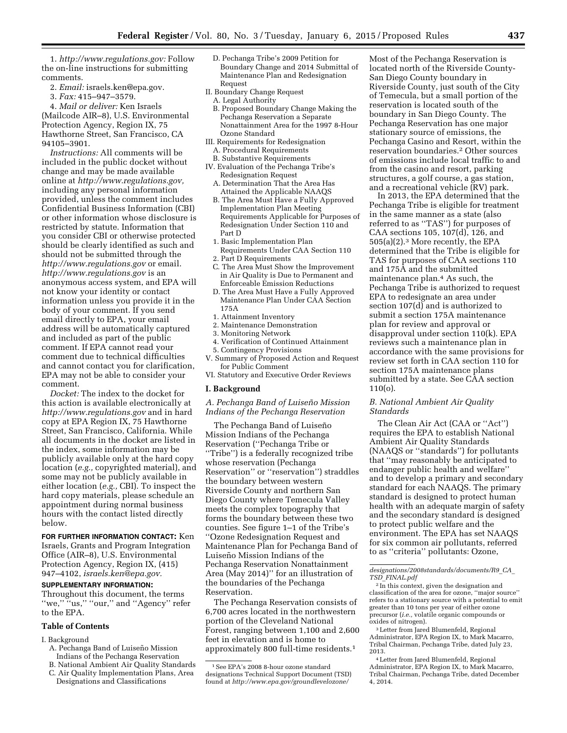1. *[http://www.regulations.gov:](http://www.regulations.gov)* Follow the on-line instructions for submitting comments.

- 2. *Email:* [israels.ken@epa.gov.](mailto:israels.ken@epa.gov)
- 3. *Fax:* 415–947–3579.

4. *Mail or deliver:* Ken Israels (Mailcode AIR–8), U.S. Environmental Protection Agency, Region IX, 75 Hawthorne Street, San Francisco, CA 94105–3901.

*Instructions:* All comments will be included in the public docket without change and may be made available online at *[http://www.regulations.gov,](http://www.regulations.gov)*  including any personal information provided, unless the comment includes Confidential Business Information (CBI) or other information whose disclosure is restricted by statute. Information that you consider CBI or otherwise protected should be clearly identified as such and should not be submitted through the *<http://www.regulations.gov>* or email. *<http://www.regulations.gov>* is an anonymous access system, and EPA will not know your identity or contact information unless you provide it in the body of your comment. If you send email directly to EPA, your email address will be automatically captured and included as part of the public comment. If EPA cannot read your comment due to technical difficulties and cannot contact you for clarification, EPA may not be able to consider your comment.

*Docket:* The index to the docket for this action is available electronically at *<http://www.regulations.gov>* and in hard copy at EPA Region IX, 75 Hawthorne Street, San Francisco, California. While all documents in the docket are listed in the index, some information may be publicly available only at the hard copy location (*e.g.,* copyrighted material), and some may not be publicly available in either location (*e.g.,* CBI). To inspect the hard copy materials, please schedule an appointment during normal business hours with the contact listed directly below.

**FOR FURTHER INFORMATION CONTACT:** Ken Israels, Grants and Program Integration Office (AIR–8), U.S. Environmental Protection Agency, Region IX, (415) 947–4102, *[israels.ken@epa.gov.](mailto:israels.ken@epa.gov)* 

# **SUPPLEMENTARY INFORMATION:**

Throughout this document, the terms ''we,'' ''us,'' ''our,'' and ''Agency'' refer to the EPA.

#### **Table of Contents**

#### I. Background

- A. Pechanga Band of Luiseño Mission
- Indians of the Pechanga Reservation B. National Ambient Air Quality Standards
- C. Air Quality Implementation Plans, Area Designations and Classifications
- D. Pechanga Tribe's 2009 Petition for Boundary Change and 2014 Submittal of Maintenance Plan and Redesignation Request
- II. Boundary Change Request
- A. Legal Authority
- B. Proposed Boundary Change Making the Pechanga Reservation a Separate Nonattainment Area for the 1997 8-Hour Ozone Standard
- III. Requirements for Redesignation A. Procedural Requirements
- B. Substantive Requirements
- IV. Evaluation of the Pechanga Tribe's Redesignation Request
	- A. Determination That the Area Has Attained the Applicable NAAQS
	- B. The Area Must Have a Fully Approved Implementation Plan Meeting Requirements Applicable for Purposes of Redesignation Under Section 110 and Part D
	- 1. Basic Implementation Plan Requirements Under CAA Section 110
- 2. Part D Requirements
- C. The Area Must Show the Improvement in Air Quality is Due to Permanent and Enforceable Emission Reductions
- D. The Area Must Have a Fully Approved Maintenance Plan Under CAA Section 175A
- 1. Attainment Inventory
- 2. Maintenance Demonstration
- 3. Monitoring Network
- 4. Verification of Continued Attainment 5. Contingency Provisions
- V. Summary of Proposed Action and Request for Public Comment
- VI. Statutory and Executive Order Reviews

## **I. Background**

*A. Pechanga Band of Luisen˜ o Mission Indians of the Pechanga Reservation* 

The Pechanga Band of Luiseño Mission Indians of the Pechanga Reservation (''Pechanga Tribe or ''Tribe'') is a federally recognized tribe whose reservation (Pechanga Reservation'' or ''reservation'') straddles the boundary between western Riverside County and northern San Diego County where Temecula Valley meets the complex topography that forms the boundary between these two counties. See figure 1–1 of the Tribe's ''Ozone Redesignation Request and Maintenance Plan for Pechanga Band of Luiseño Mission Indians of the Pechanga Reservation Nonattainment Area (May 2014)'' for an illustration of the boundaries of the Pechanga Reservation.

The Pechanga Reservation consists of 6,700 acres located in the northwestern portion of the Cleveland National Forest, ranging between 1,100 and 2,600 feet in elevation and is home to approximately 800 full-time residents.1

Most of the Pechanga Reservation is located north of the Riverside County-San Diego County boundary in Riverside County, just south of the City of Temecula, but a small portion of the reservation is located south of the boundary in San Diego County. The Pechanga Reservation has one major stationary source of emissions, the Pechanga Casino and Resort, within the reservation boundaries.2 Other sources of emissions include local traffic to and from the casino and resort, parking structures, a golf course, a gas station, and a recreational vehicle (RV) park.

In 2013, the EPA determined that the Pechanga Tribe is eligible for treatment in the same manner as a state (also referred to as ''TAS'') for purposes of CAA sections 105, 107(d), 126, and 505(a)(2).3 More recently, the EPA determined that the Tribe is eligible for TAS for purposes of CAA sections 110 and 175A and the submitted maintenance plan.4 As such, the Pechanga Tribe is authorized to request EPA to redesignate an area under section 107(d) and is authorized to submit a section 175A maintenance plan for review and approval or disapproval under section 110(k). EPA reviews such a maintenance plan in accordance with the same provisions for review set forth in CAA section 110 for section 175A maintenance plans submitted by a state. See CAA section 110(o).

# *B. National Ambient Air Quality Standards*

The Clean Air Act (CAA or ''Act'') requires the EPA to establish National Ambient Air Quality Standards (NAAQS or ''standards'') for pollutants that ''may reasonably be anticipated to endanger public health and welfare'' and to develop a primary and secondary standard for each NAAQS. The primary standard is designed to protect human health with an adequate margin of safety and the secondary standard is designed to protect public welfare and the environment. The EPA has set NAAQS for six common air pollutants, referred to as ''criteria'' pollutants: Ozone,

*[designations/2008standards/documents/R9](http://www.epa.gov/groundlevelozone/designations/2008standards/documents/R9_CA_TSD_FINAL.pdf)*\_*CA*\_ *TSD*\_*[FINAL.pdf](http://www.epa.gov/groundlevelozone/designations/2008standards/documents/R9_CA_TSD_FINAL.pdf)* 

2 In this context, given the designation and classification of the area for ozone, ''major source'' refers to a stationary source with a potential to emit greater than 10 tons per year of either ozone precursor (*i.e.,* volatile organic compounds or oxides of nitrogen). 3Letter from Jared Blumenfeld, Regional

Administrator, EPA Region IX, to Mark Macarro, Tribal Chairman, Pechanga Tribe, dated July 23, 2013. 4Letter from Jared Blumenfeld, Regional

Administrator, EPA Region IX, to Mark Macarro, Tribal Chairman, Pechanga Tribe, dated December 4, 2014.

<sup>1</sup>See EPA's 2008 8-hour ozone standard designations Technical Support Document (TSD) found at *[http://www.epa.gov/groundlevelozone/](http://www.epa.gov/groundlevelozone/designations/2008standards/documents/R9_CA_TSD_FINAL.pdf)*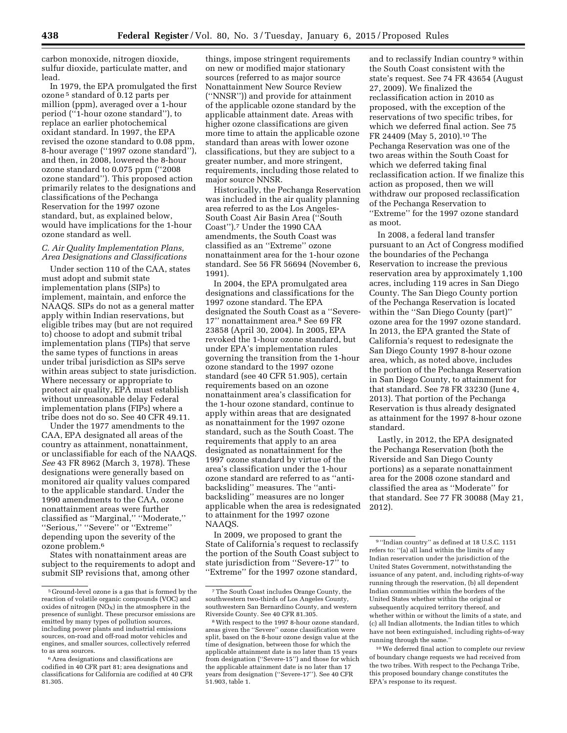carbon monoxide, nitrogen dioxide, sulfur dioxide, particulate matter, and lead.

In 1979, the EPA promulgated the first ozone 5 standard of 0.12 parts per million (ppm), averaged over a 1-hour period (''1-hour ozone standard''), to replace an earlier photochemical oxidant standard. In 1997, the EPA revised the ozone standard to 0.08 ppm, 8-hour average (''1997 ozone standard''), and then, in 2008, lowered the 8-hour ozone standard to 0.075 ppm (''2008 ozone standard''). This proposed action primarily relates to the designations and classifications of the Pechanga Reservation for the 1997 ozone standard, but, as explained below, would have implications for the 1-hour ozone standard as well.

## *C. Air Quality Implementation Plans, Area Designations and Classifications*

Under section 110 of the CAA, states must adopt and submit state implementation plans (SIPs) to implement, maintain, and enforce the NAAQS. SIPs do not as a general matter apply within Indian reservations, but eligible tribes may (but are not required to) choose to adopt and submit tribal implementation plans (TIPs) that serve the same types of functions in areas under tribal jurisdiction as SIPs serve within areas subject to state jurisdiction. Where necessary or appropriate to protect air quality, EPA must establish without unreasonable delay Federal implementation plans (FIPs) where a tribe does not do so. See 40 CFR 49.11.

Under the 1977 amendments to the CAA, EPA designated all areas of the country as attainment, nonattainment, or unclassifiable for each of the NAAQS. *See* 43 FR 8962 (March 3, 1978). These designations were generally based on monitored air quality values compared to the applicable standard. Under the 1990 amendments to the CAA, ozone nonattainment areas were further classified as ''Marginal,'' ''Moderate,'' ''Serious,'' ''Severe'' or ''Extreme'' depending upon the severity of the ozone problem.6

States with nonattainment areas are subject to the requirements to adopt and submit SIP revisions that, among other

things, impose stringent requirements on new or modified major stationary sources (referred to as major source Nonattainment New Source Review (''NNSR'')) and provide for attainment of the applicable ozone standard by the applicable attainment date. Areas with higher ozone classifications are given more time to attain the applicable ozone standard than areas with lower ozone classifications, but they are subject to a greater number, and more stringent, requirements, including those related to major source NNSR.

Historically, the Pechanga Reservation was included in the air quality planning area referred to as the Los Angeles-South Coast Air Basin Area (''South Coast'').7 Under the 1990 CAA amendments, the South Coast was classified as an ''Extreme'' ozone nonattainment area for the 1-hour ozone standard. See 56 FR 56694 (November 6, 1991).

In 2004, the EPA promulgated area designations and classifications for the 1997 ozone standard. The EPA designated the South Coast as a ''Severe-17'' nonattainment area.8 See 69 FR 23858 (April 30, 2004). In 2005, EPA revoked the 1-hour ozone standard, but under EPA's implementation rules governing the transition from the 1-hour ozone standard to the 1997 ozone standard (see 40 CFR 51.905), certain requirements based on an ozone nonattainment area's classification for the 1-hour ozone standard, continue to apply within areas that are designated as nonattainment for the 1997 ozone standard, such as the South Coast. The requirements that apply to an area designated as nonattainment for the 1997 ozone standard by virtue of the area's classification under the 1-hour ozone standard are referred to as ''antibacksliding'' measures. The ''antibacksliding'' measures are no longer applicable when the area is redesignated to attainment for the 1997 ozone NAAQS.

In 2009, we proposed to grant the State of California's request to reclassify the portion of the South Coast subject to state jurisdiction from ''Severe-17'' to ''Extreme'' for the 1997 ozone standard,

and to reclassify Indian country 9 within the South Coast consistent with the state's request. See 74 FR 43654 (August 27, 2009). We finalized the reclassification action in 2010 as proposed, with the exception of the reservations of two specific tribes, for which we deferred final action. See 75 FR 24409 (May 5, 2010).10 The Pechanga Reservation was one of the two areas within the South Coast for which we deferred taking final reclassification action. If we finalize this action as proposed, then we will withdraw our proposed reclassification of the Pechanga Reservation to ''Extreme'' for the 1997 ozone standard as moot.

In 2008, a federal land transfer pursuant to an Act of Congress modified the boundaries of the Pechanga Reservation to increase the previous reservation area by approximately 1,100 acres, including 119 acres in San Diego County. The San Diego County portion of the Pechanga Reservation is located within the "San Diego County (part)" ozone area for the 1997 ozone standard. In 2013, the EPA granted the State of California's request to redesignate the San Diego County 1997 8-hour ozone area, which, as noted above, includes the portion of the Pechanga Reservation in San Diego County, to attainment for that standard. See 78 FR 33230 (June 4, 2013). That portion of the Pechanga Reservation is thus already designated as attainment for the 1997 8-hour ozone standard.

Lastly, in 2012, the EPA designated the Pechanga Reservation (both the Riverside and San Diego County portions) as a separate nonattainment area for the 2008 ozone standard and classified the area as ''Moderate'' for that standard. See 77 FR 30088 (May 21, 2012).

10We deferred final action to complete our review of boundary change requests we had received from the two tribes. With respect to the Pechanga Tribe, this proposed boundary change constitutes the EPA's response to its request.

<sup>5</sup> Ground-level ozone is a gas that is formed by the reaction of volatile organic compounds (VOC) and oxides of nitrogen  $(NO_X)$  in the atmosphere in the presence of sunlight. These precursor emissions are emitted by many types of pollution sources, including power plants and industrial emissions sources, on-road and off-road motor vehicles and engines, and smaller sources, collectively referred to as area sources.

<sup>6</sup>Area designations and classifications are codified in 40 CFR part 81; area designations and classifications for California are codified at 40 CFR 81.305.

<sup>7</sup>The South Coast includes Orange County, the southwestern two-thirds of Los Angeles County, southwestern San Bernardino County, and western Riverside County. See 40 CFR 81.305.

<sup>8</sup>With respect to the 1997 8-hour ozone standard, areas given the ''Severe'' ozone classification were split, based on the 8-hour ozone design value at the time of designation, between those for which the applicable attainment date is no later than 15 years from designation (''Severe-15'') and those for which the applicable attainment date is no later than 17 years from designation (''Severe-17''). See 40 CFR 51.903, table 1.

<sup>9</sup> ''Indian country'' as defined at 18 U.S.C. 1151 refers to: ''(a) all land within the limits of any Indian reservation under the jurisdiction of the United States Government, notwithstanding the issuance of any patent, and, including rights-of-way running through the reservation, (b) all dependent Indian communities within the borders of the United States whether within the original or subsequently acquired territory thereof, and whether within or without the limits of a state, and (c) all Indian allotments, the Indian titles to which have not been extinguished, including rights-of-way running through the same.''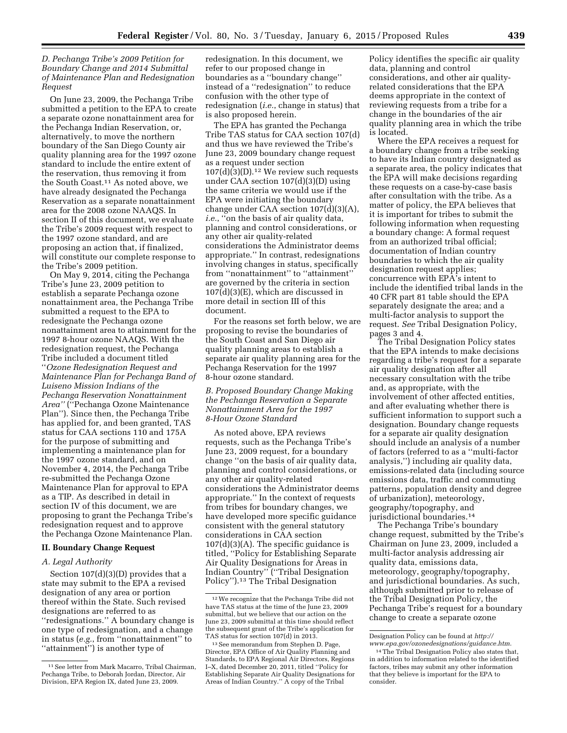# *D. Pechanga Tribe's 2009 Petition for Boundary Change and 2014 Submittal of Maintenance Plan and Redesignation Request*

On June 23, 2009, the Pechanga Tribe submitted a petition to the EPA to create a separate ozone nonattainment area for the Pechanga Indian Reservation, or, alternatively, to move the northern boundary of the San Diego County air quality planning area for the 1997 ozone standard to include the entire extent of the reservation, thus removing it from the South Coast.11 As noted above, we have already designated the Pechanga Reservation as a separate nonattainment area for the 2008 ozone NAAQS. In section II of this document, we evaluate the Tribe's 2009 request with respect to the 1997 ozone standard, and are proposing an action that, if finalized, will constitute our complete response to the Tribe's 2009 petition.

On May 9, 2014, citing the Pechanga Tribe's June 23, 2009 petition to establish a separate Pechanga ozone nonattainment area, the Pechanga Tribe submitted a request to the EPA to redesignate the Pechanga ozone nonattainment area to attainment for the 1997 8-hour ozone NAAQS. With the redesignation request, the Pechanga Tribe included a document titled ''*Ozone Redesignation Request and Maintenance Plan for Pechanga Band of Luiseno Mission Indians of the Pechanga Reservation Nonattainment Area''* (''Pechanga Ozone Maintenance Plan''). Since then, the Pechanga Tribe has applied for, and been granted, TAS status for CAA sections 110 and 175A for the purpose of submitting and implementing a maintenance plan for the 1997 ozone standard, and on November 4, 2014, the Pechanga Tribe re-submitted the Pechanga Ozone Maintenance Plan for approval to EPA as a TIP. As described in detail in section IV of this document, we are proposing to grant the Pechanga Tribe's redesignation request and to approve the Pechanga Ozone Maintenance Plan.

### **II. Boundary Change Request**

## *A. Legal Authority*

Section 107(d)(3)(D) provides that a state may submit to the EPA a revised designation of any area or portion thereof within the State. Such revised designations are referred to as ''redesignations.'' A boundary change is one type of redesignation, and a change in status (*e.g.*, from ''nonattainment'' to ''attainment'') is another type of

redesignation. In this document, we refer to our proposed change in boundaries as a ''boundary change'' instead of a ''redesignation'' to reduce confusion with the other type of redesignation (*i.e.*, change in status) that is also proposed herein.

The EPA has granted the Pechanga Tribe TAS status for CAA section 107(d) and thus we have reviewed the Tribe's June 23, 2009 boundary change request as a request under section 107(d)(3)(D).12 We review such requests under CAA section 107(d)(3)(D) using the same criteria we would use if the EPA were initiating the boundary change under CAA section 107(d)(3)(A), *i.e.*, ''on the basis of air quality data, planning and control considerations, or any other air quality-related considerations the Administrator deems appropriate.'' In contrast, redesignations involving changes in status, specifically from ''nonattainment'' to ''attainment'' are governed by the criteria in section 107(d)(3)(E), which are discussed in more detail in section III of this document.

For the reasons set forth below, we are proposing to revise the boundaries of the South Coast and San Diego air quality planning areas to establish a separate air quality planning area for the Pechanga Reservation for the 1997 8-hour ozone standard.

## *B. Proposed Boundary Change Making the Pechanga Reservation a Separate Nonattainment Area for the 1997 8-Hour Ozone Standard*

As noted above, EPA reviews requests, such as the Pechanga Tribe's June 23, 2009 request, for a boundary change ''on the basis of air quality data, planning and control considerations, or any other air quality-related considerations the Administrator deems appropriate.'' In the context of requests from tribes for boundary changes, we have developed more specific guidance consistent with the general statutory considerations in CAA section  $107(d)(3)(A)$ . The specific guidance is titled, ''Policy for Establishing Separate Air Quality Designations for Areas in Indian Country'' (''Tribal Designation Policy'').13 The Tribal Designation

Policy identifies the specific air quality data, planning and control considerations, and other air qualityrelated considerations that the EPA deems appropriate in the context of reviewing requests from a tribe for a change in the boundaries of the air quality planning area in which the tribe is located.

Where the EPA receives a request for a boundary change from a tribe seeking to have its Indian country designated as a separate area, the policy indicates that the EPA will make decisions regarding these requests on a case-by-case basis after consultation with the tribe. As a matter of policy, the EPA believes that it is important for tribes to submit the following information when requesting a boundary change: A formal request from an authorized tribal official; documentation of Indian country boundaries to which the air quality designation request applies; concurrence with EPA's intent to include the identified tribal lands in the 40 CFR part 81 table should the EPA separately designate the area; and a multi-factor analysis to support the request. *See* Tribal Designation Policy, pages 3 and 4.

The Tribal Designation Policy states that the EPA intends to make decisions regarding a tribe's request for a separate air quality designation after all necessary consultation with the tribe and, as appropriate, with the involvement of other affected entities, and after evaluating whether there is sufficient information to support such a designation. Boundary change requests for a separate air quality designation should include an analysis of a number of factors (referred to as a ''multi-factor analysis,'') including air quality data, emissions-related data (including source emissions data, traffic and commuting patterns, population density and degree of urbanization), meteorology, geography/topography, and jurisdictional boundaries.14

The Pechanga Tribe's boundary change request, submitted by the Tribe's Chairman on June 23, 2009, included a multi-factor analysis addressing air quality data, emissions data, meteorology, geography/topography, and jurisdictional boundaries. As such, although submitted prior to release of the Tribal Designation Policy, the Pechanga Tribe's request for a boundary change to create a separate ozone

<sup>11</sup>See letter from Mark Macarro, Tribal Chairman, Pechanga Tribe, to Deborah Jordan, Director, Air Division, EPA Region IX, dated June 23, 2009.

<sup>12</sup>We recognize that the Pechanga Tribe did not have TAS status at the time of the June 23, 2009 submittal, but we believe that our action on the June 23, 2009 submittal at this time should reflect the subsequent grant of the Tribe's application for TAS status for section 107(d) in 2013.

<sup>13</sup>See memorandum from Stephen D. Page, Director, EPA Office of Air Quality Planning and Standards, to EPA Regional Air Directors, Regions I–X, dated December 20, 2011, titled ''Policy for Establishing Separate Air Quality Designations for Areas of Indian Country.'' A copy of the Tribal

Designation Policy can be found at *[http://](http://www.epa.gov/ozonedesignations/guidance.htm) [www.epa.gov/ozonedesignations/guidance.htm](http://www.epa.gov/ozonedesignations/guidance.htm)*.

<sup>14</sup>The Tribal Designation Policy also states that, in addition to information related to the identified factors, tribes may submit any other information that they believe is important for the EPA to consider.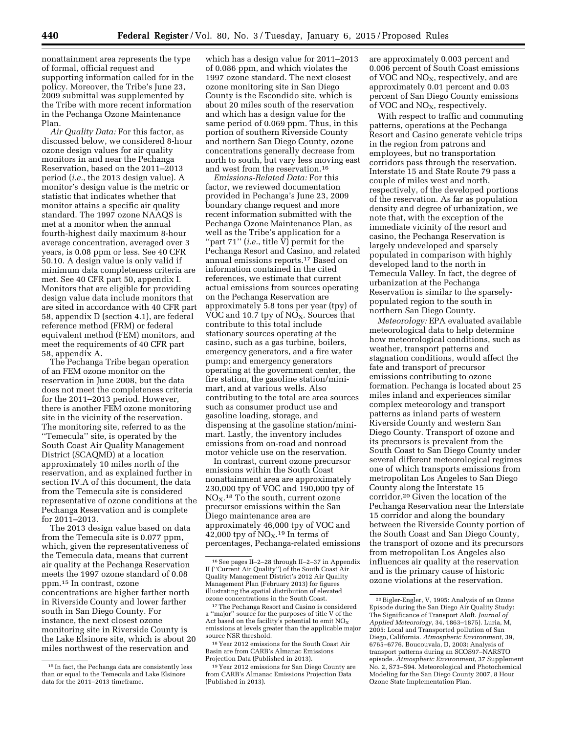nonattainment area represents the type of formal, official request and supporting information called for in the policy. Moreover, the Tribe's June 23, 2009 submittal was supplemented by the Tribe with more recent information in the Pechanga Ozone Maintenance Plan.

*Air Quality Data:* For this factor, as discussed below, we considered 8-hour ozone design values for air quality monitors in and near the Pechanga Reservation, based on the 2011–2013 period (*i.e.*, the 2013 design value). A monitor's design value is the metric or statistic that indicates whether that monitor attains a specific air quality standard. The 1997 ozone NAAQS is met at a monitor when the annual fourth-highest daily maximum 8-hour average concentration, averaged over 3 years, is 0.08 ppm or less. See 40 CFR 50.10. A design value is only valid if minimum data completeness criteria are met. See 40 CFR part 50, appendix I. Monitors that are eligible for providing design value data include monitors that are sited in accordance with 40 CFR part 58, appendix D (section 4.1), are federal reference method (FRM) or federal equivalent method (FEM) monitors, and meet the requirements of 40 CFR part 58, appendix A.

The Pechanga Tribe began operation of an FEM ozone monitor on the reservation in June 2008, but the data does not meet the completeness criteria for the 2011–2013 period. However, there is another FEM ozone monitoring site in the vicinity of the reservation. The monitoring site, referred to as the ''Temecula'' site, is operated by the South Coast Air Quality Management District (SCAQMD) at a location approximately 10 miles north of the reservation, and as explained further in section IV.A of this document, the data from the Temecula site is considered representative of ozone conditions at the Pechanga Reservation and is complete for 2011–2013.

The 2013 design value based on data from the Temecula site is 0.077 ppm, which, given the representativeness of the Temecula data, means that current air quality at the Pechanga Reservation meets the 1997 ozone standard of 0.08 ppm.15 In contrast, ozone concentrations are higher farther north in Riverside County and lower farther south in San Diego County. For instance, the next closest ozone monitoring site in Riverside County is the Lake Elsinore site, which is about 20 miles northwest of the reservation and

which has a design value for 2011–2013 of 0.086 ppm, and which violates the 1997 ozone standard. The next closest ozone monitoring site in San Diego County is the Escondido site, which is about 20 miles south of the reservation and which has a design value for the same period of 0.069 ppm. Thus, in this portion of southern Riverside County and northern San Diego County, ozone concentrations generally decrease from north to south, but vary less moving east and west from the reservation.16

*Emissions-Related Data:* For this factor, we reviewed documentation provided in Pechanga's June 23, 2009 boundary change request and more recent information submitted with the Pechanga Ozone Maintenance Plan, as well as the Tribe's application for a "part 71" (*i.e.*, title  $\overline{V}$ ) permit for the Pechanga Resort and Casino, and related annual emissions reports.17 Based on information contained in the cited references, we estimate that current actual emissions from sources operating on the Pechanga Reservation are approximately 5.8 tons per year (tpy) of VOC and 10.7 tpy of  $NO<sub>X</sub>$ . Sources that contribute to this total include stationary sources operating at the casino, such as a gas turbine, boilers, emergency generators, and a fire water pump; and emergency generators operating at the government center, the fire station, the gasoline station/minimart, and at various wells. Also contributing to the total are area sources such as consumer product use and gasoline loading, storage, and dispensing at the gasoline station/minimart. Lastly, the inventory includes emissions from on-road and nonroad motor vehicle use on the reservation.

In contrast, current ozone precursor emissions within the South Coast nonattainment area are approximately 230,000 tpy of VOC and 190,000 tpy of  $NO<sub>X</sub>$ .<sup>18</sup> To the south, current ozone precursor emissions within the San Diego maintenance area are approximately 46,000 tpy of VOC and 42,000 tpy of  $NO<sub>X</sub>$ .<sup>19</sup> In terms of percentages, Pechanga-related emissions are approximately 0.003 percent and 0.006 percent of South Coast emissions of VOC and  $NO<sub>x</sub>$ , respectively, and are approximately 0.01 percent and 0.03 percent of San Diego County emissions of VOC and NO<sub>X</sub>, respectively.

With respect to traffic and commuting patterns, operations at the Pechanga Resort and Casino generate vehicle trips in the region from patrons and employees, but no transportation corridors pass through the reservation. Interstate 15 and State Route 79 pass a couple of miles west and north, respectively, of the developed portions of the reservation. As far as population density and degree of urbanization, we note that, with the exception of the immediate vicinity of the resort and casino, the Pechanga Reservation is largely undeveloped and sparsely populated in comparison with highly developed land to the north in Temecula Valley. In fact, the degree of urbanization at the Pechanga Reservation is similar to the sparselypopulated region to the south in northern San Diego County.

*Meteorology:* EPA evaluated available meteorological data to help determine how meteorological conditions, such as weather, transport patterns and stagnation conditions, would affect the fate and transport of precursor emissions contributing to ozone formation. Pechanga is located about 25 miles inland and experiences similar complex meteorology and transport patterns as inland parts of western Riverside County and western San Diego County. Transport of ozone and its precursors is prevalent from the South Coast to San Diego County under several different meteorological regimes one of which transports emissions from metropolitan Los Angeles to San Diego County along the Interstate 15 corridor.20 Given the location of the Pechanga Reservation near the Interstate 15 corridor and along the boundary between the Riverside County portion of the South Coast and San Diego County, the transport of ozone and its precursors from metropolitan Los Angeles also influences air quality at the reservation and is the primary cause of historic ozone violations at the reservation.

<sup>15</sup> In fact, the Pechanga data are consistently less than or equal to the Temecula and Lake Elsinore data for the 2011–2013 timeframe.

<sup>16</sup>See pages II–2–28 through II–2–37 in Appendix II (''Current Air Quality'') of the South Coast Air Quality Management District's 2012 Air Quality Management Plan (February 2013) for figures illustrating the spatial distribution of elevated ozone concentrations in the South Coast.

<sup>17</sup>The Pechanga Resort and Casino is considered a ''major'' source for the purposes of title V of the Act based on the facility's potential to emit  $NO<sub>x</sub>$ emissions at levels greater than the applicable major source NSR threshold.

<sup>18</sup> Year 2012 emissions for the South Coast Air Basin are from CARB's Almanac Emissions Projection Data (Published in 2013).

<sup>19</sup> Year 2012 emissions for San Diego County are from CARB's Almanac Emissions Projection Data (Published in 2013).

<sup>20</sup>Bigler-Engler, V, 1995: Analysis of an Ozone Episode during the San Diego Air Quality Study: The Significance of Transport Aloft. *Journal of Applied Meteorology*, 34, 1863–1875). Luria, M, 2005: Local and Transported pollution of San Diego, California. *Atmospheric Environment*, 39, 6765–6776. Boucouvala, D, 2003: Analysis of transport patterns during an SCOS97–NARSTO episode. *Atmospheric Environment*, 37 Supplement No. 2, S73–S94. Meteorological and Photochemical Modeling for the San Diego County 2007, 8 Hour Ozone State Implementation Plan.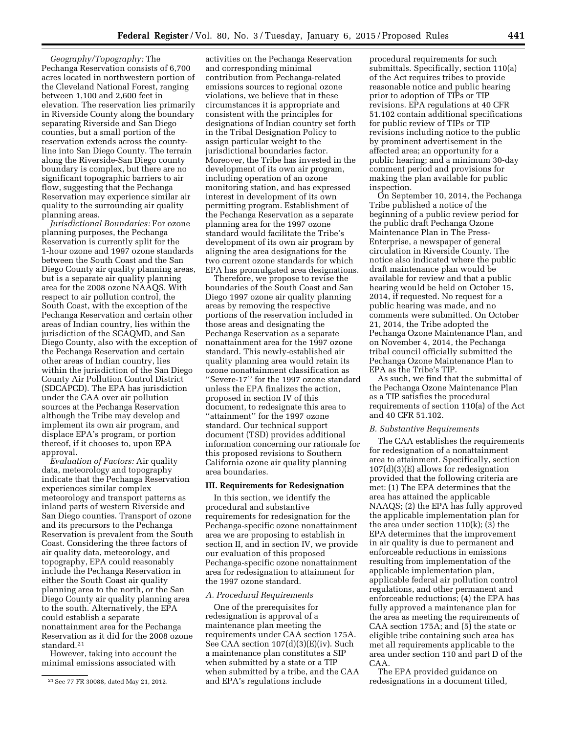*Geography/Topography:* The Pechanga Reservation consists of 6,700 acres located in northwestern portion of the Cleveland National Forest, ranging between 1,100 and 2,600 feet in elevation. The reservation lies primarily in Riverside County along the boundary separating Riverside and San Diego counties, but a small portion of the reservation extends across the countyline into San Diego County. The terrain along the Riverside-San Diego county boundary is complex, but there are no significant topographic barriers to air flow, suggesting that the Pechanga Reservation may experience similar air quality to the surrounding air quality planning areas.

*Jurisdictional Boundaries:* For ozone planning purposes, the Pechanga Reservation is currently split for the 1-hour ozone and 1997 ozone standards between the South Coast and the San Diego County air quality planning areas, but is a separate air quality planning area for the 2008 ozone NAAQS. With respect to air pollution control, the South Coast, with the exception of the Pechanga Reservation and certain other areas of Indian country, lies within the jurisdiction of the SCAQMD, and San Diego County, also with the exception of the Pechanga Reservation and certain other areas of Indian country, lies within the jurisdiction of the San Diego County Air Pollution Control District (SDCAPCD). The EPA has jurisdiction under the CAA over air pollution sources at the Pechanga Reservation although the Tribe may develop and implement its own air program, and displace EPA's program, or portion thereof, if it chooses to, upon EPA approval.

*Evaluation of Factors:* Air quality data, meteorology and topography indicate that the Pechanga Reservation experiences similar complex meteorology and transport patterns as inland parts of western Riverside and San Diego counties. Transport of ozone and its precursors to the Pechanga Reservation is prevalent from the South Coast. Considering the three factors of air quality data, meteorology, and topography, EPA could reasonably include the Pechanga Reservation in either the South Coast air quality planning area to the north, or the San Diego County air quality planning area to the south. Alternatively, the EPA could establish a separate nonattainment area for the Pechanga Reservation as it did for the 2008 ozone standard.21

However, taking into account the minimal emissions associated with

activities on the Pechanga Reservation and corresponding minimal contribution from Pechanga-related emissions sources to regional ozone violations, we believe that in these circumstances it is appropriate and consistent with the principles for designations of Indian country set forth in the Tribal Designation Policy to assign particular weight to the jurisdictional boundaries factor. Moreover, the Tribe has invested in the development of its own air program, including operation of an ozone monitoring station, and has expressed interest in development of its own permitting program. Establishment of the Pechanga Reservation as a separate planning area for the 1997 ozone standard would facilitate the Tribe's development of its own air program by aligning the area designations for the two current ozone standards for which EPA has promulgated area designations.

Therefore, we propose to revise the boundaries of the South Coast and San Diego 1997 ozone air quality planning areas by removing the respective portions of the reservation included in those areas and designating the Pechanga Reservation as a separate nonattainment area for the 1997 ozone standard. This newly-established air quality planning area would retain its ozone nonattainment classification as ''Severe-17'' for the 1997 ozone standard unless the EPA finalizes the action, proposed in section IV of this document, to redesignate this area to "attainment" for the 1997 ozone standard. Our technical support document (TSD) provides additional information concerning our rationale for this proposed revisions to Southern California ozone air quality planning area boundaries.

## **III. Requirements for Redesignation**

In this section, we identify the procedural and substantive requirements for redesignation for the Pechanga-specific ozone nonattainment area we are proposing to establish in section II, and in section IV, we provide our evaluation of this proposed Pechanga-specific ozone nonattainment area for redesignation to attainment for the 1997 ozone standard.

### *A. Procedural Requirements*

One of the prerequisites for redesignation is approval of a maintenance plan meeting the requirements under CAA section 175A. See CAA section 107(d)(3)(E)(iv). Such a maintenance plan constitutes a SIP when submitted by a state or a TIP when submitted by a tribe, and the CAA and EPA's regulations include

procedural requirements for such submittals. Specifically, section 110(a) of the Act requires tribes to provide reasonable notice and public hearing prior to adoption of TIPs or TIP revisions. EPA regulations at 40 CFR 51.102 contain additional specifications for public review of TIPs or TIP revisions including notice to the public by prominent advertisement in the affected area; an opportunity for a public hearing; and a minimum 30-day comment period and provisions for making the plan available for public inspection.

On September 10, 2014, the Pechanga Tribe published a notice of the beginning of a public review period for the public draft Pechanga Ozone Maintenance Plan in The Press-Enterprise, a newspaper of general circulation in Riverside County. The notice also indicated where the public draft maintenance plan would be available for review and that a public hearing would be held on October 15, 2014, if requested. No request for a public hearing was made, and no comments were submitted. On October 21, 2014, the Tribe adopted the Pechanga Ozone Maintenance Plan, and on November 4, 2014, the Pechanga tribal council officially submitted the Pechanga Ozone Maintenance Plan to EPA as the Tribe's TIP.

As such, we find that the submittal of the Pechanga Ozone Maintenance Plan as a TIP satisfies the procedural requirements of section 110(a) of the Act and 40 CFR 51.102.

#### *B. Substantive Requirements*

The CAA establishes the requirements for redesignation of a nonattainment area to attainment. Specifically, section 107(d)(3)(E) allows for redesignation provided that the following criteria are met: (1) The EPA determines that the area has attained the applicable NAAQS; (2) the EPA has fully approved the applicable implementation plan for the area under section 110(k); (3) the EPA determines that the improvement in air quality is due to permanent and enforceable reductions in emissions resulting from implementation of the applicable implementation plan, applicable federal air pollution control regulations, and other permanent and enforceable reductions; (4) the EPA has fully approved a maintenance plan for the area as meeting the requirements of CAA section 175A; and (5) the state or eligible tribe containing such area has met all requirements applicable to the area under section 110 and part D of the CAA.

The EPA provided guidance on redesignations in a document titled,

<sup>21</sup>See 77 FR 30088, dated May 21, 2012.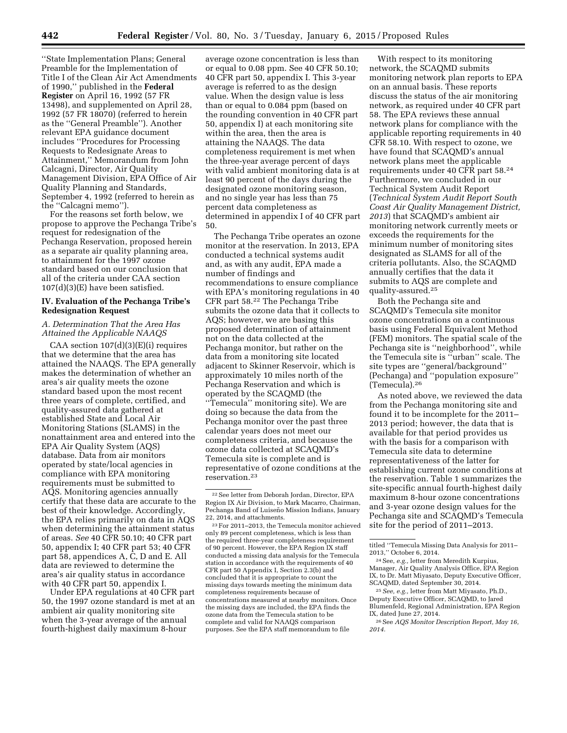''State Implementation Plans; General Preamble for the Implementation of Title I of the Clean Air Act Amendments of 1990,'' published in the **Federal Register** on April 16, 1992 (57 FR 13498), and supplemented on April 28, 1992 (57 FR 18070) (referred to herein as the ''General Preamble''). Another relevant EPA guidance document includes ''Procedures for Processing Requests to Redesignate Areas to Attainment,'' Memorandum from John Calcagni, Director, Air Quality Management Division, EPA Office of Air Quality Planning and Standards, September 4, 1992 (referred to herein as the ''Calcagni memo'').

For the reasons set forth below, we propose to approve the Pechanga Tribe's request for redesignation of the Pechanga Reservation, proposed herein as a separate air quality planning area, to attainment for the 1997 ozone standard based on our conclusion that all of the criteria under CAA section 107(d)(3)(E) have been satisfied.

## **IV. Evaluation of the Pechanga Tribe's Redesignation Request**

## *A. Determination That the Area Has Attained the Applicable NAAQS*

CAA section 107(d)(3)(E)(i) requires that we determine that the area has attained the NAAQS. The EPA generally makes the determination of whether an area's air quality meets the ozone standard based upon the most recent three years of complete, certified, and quality-assured data gathered at established State and Local Air Monitoring Stations (SLAMS) in the nonattainment area and entered into the EPA Air Quality System (AQS) database. Data from air monitors operated by state/local agencies in compliance with EPA monitoring requirements must be submitted to AQS. Monitoring agencies annually certify that these data are accurate to the best of their knowledge. Accordingly, the EPA relies primarily on data in AQS when determining the attainment status of areas. *See* 40 CFR 50.10; 40 CFR part 50, appendix I; 40 CFR part 53; 40 CFR part 58, appendices A, C, D and E. All data are reviewed to determine the area's air quality status in accordance with 40 CFR part 50, appendix I.

Under EPA regulations at 40 CFR part 50, the 1997 ozone standard is met at an ambient air quality monitoring site when the 3-year average of the annual fourth-highest daily maximum 8-hour

average ozone concentration is less than or equal to 0.08 ppm. See 40 CFR 50.10; 40 CFR part 50, appendix I. This 3-year average is referred to as the design value. When the design value is less than or equal to 0.084 ppm (based on the rounding convention in 40 CFR part 50, appendix I) at each monitoring site within the area, then the area is attaining the NAAQS. The data completeness requirement is met when the three-year average percent of days with valid ambient monitoring data is at least 90 percent of the days during the designated ozone monitoring season, and no single year has less than 75 percent data completeness as determined in appendix I of 40 CFR part 50.

The Pechanga Tribe operates an ozone monitor at the reservation. In 2013, EPA conducted a technical systems audit and, as with any audit, EPA made a number of findings and recommendations to ensure compliance with EPA's monitoring regulations in 40 CFR part 58.22 The Pechanga Tribe submits the ozone data that it collects to AQS; however, we are basing this proposed determination of attainment not on the data collected at the Pechanga monitor, but rather on the data from a monitoring site located adjacent to Skinner Reservoir, which is approximately 10 miles north of the Pechanga Reservation and which is operated by the SCAQMD (the ''Temecula'' monitoring site). We are doing so because the data from the Pechanga monitor over the past three calendar years does not meet our completeness criteria, and because the ozone data collected at SCAQMD's Temecula site is complete and is representative of ozone conditions at the reservation.23

23For 2011–2013, the Temecula monitor achieved only 89 percent completeness, which is less than the required three-year completeness requirement of 90 percent. However, the EPA Region IX staff conducted a missing data analysis for the Temecula station in accordance with the requirements of 40 CFR part 50 Appendix I, Section 2.3(b) and concluded that it is appropriate to count the missing days towards meeting the minimum data completeness requirements because of concentrations measured at nearby monitors. Once the missing days are included, the EPA finds the ozone data from the Temecula station to be complete and valid for NAAQS comparison purposes. See the EPA staff memorandum to file

With respect to its monitoring network, the SCAQMD submits monitoring network plan reports to EPA on an annual basis. These reports discuss the status of the air monitoring network, as required under 40 CFR part 58. The EPA reviews these annual network plans for compliance with the applicable reporting requirements in 40 CFR 58.10. With respect to ozone, we have found that SCAQMD's annual network plans meet the applicable requirements under 40 CFR part 58.24 Furthermore, we concluded in our Technical System Audit Report (*Technical System Audit Report South Coast Air Quality Management District, 2013*) that SCAQMD's ambient air monitoring network currently meets or exceeds the requirements for the minimum number of monitoring sites designated as SLAMS for all of the criteria pollutants. Also, the SCAQMD annually certifies that the data it submits to AQS are complete and quality-assured.25

Both the Pechanga site and SCAQMD's Temecula site monitor ozone concentrations on a continuous basis using Federal Equivalent Method (FEM) monitors. The spatial scale of the Pechanga site is ''neighborhood'', while the Temecula site is ''urban'' scale. The site types are ''general/background'' (Pechanga) and ''population exposure'' (Temecula).26

As noted above, we reviewed the data from the Pechanga monitoring site and found it to be incomplete for the 2011– 2013 period; however, the data that is available for that period provides us with the basis for a comparison with Temecula site data to determine representativeness of the latter for establishing current ozone conditions at the reservation. Table 1 summarizes the site-specific annual fourth-highest daily maximum 8-hour ozone concentrations and 3-year ozone design values for the Pechanga site and SCAQMD's Temecula site for the period of 2011–2013.

 $^\mathrm{22}\!\!\text{See}$  letter from Deborah Jordan, Director, EPA Region IX Air Division, to Mark Macarro, Chairman, Pechanga Band of Luiseño Mission Indians, January 22, 2014, and attachments.

titled ''Temecula Missing Data Analysis for 2011– 2013,'' October 6, 2014.

<sup>24</sup>See, *e.g.,* letter from Meredith Kurpius, Manager, Air Quality Analysis Office, EPA Region IX, to Dr. Matt Miyasato, Deputy Executive Officer, SCAQMD, dated September 30, 2014.

<sup>25</sup>*See, e.g.,* letter from Matt Miyasato, Ph.D., Deputy Executive Officer, SCAQMD, to Jared Blumenfeld, Regional Administration, EPA Region IX, dated June 27, 2014.

<sup>26</sup>See *AQS Monitor Description Report, May 16, 2014.*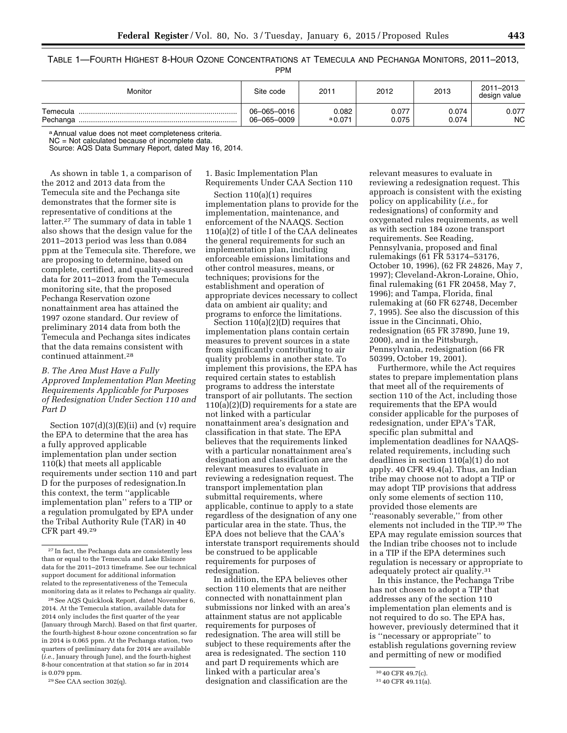TABLE 1—FOURTH HIGHEST 8-HOUR OZONE CONCENTRATIONS AT TEMECULA AND PECHANGA MONITORS, 2011–2013,

PPM

| Monitor              | Site code                  | 2011               | 2012           | 2013           | 2011-2013<br>design value |
|----------------------|----------------------------|--------------------|----------------|----------------|---------------------------|
| Temecula<br>Pechanga | 06-065-0016<br>06-065-0009 | 0.082<br>$a$ 0.071 | 0.077<br>0.075 | 0.074<br>0.074 | 0.077<br>NC.              |

a Annual value does not meet completeness criteria.

NC = Not calculated because of incomplete data. Source: AQS Data Summary Report, dated May 16, 2014.

As shown in table 1, a comparison of the 2012 and 2013 data from the Temecula site and the Pechanga site demonstrates that the former site is representative of conditions at the latter.27 The summary of data in table 1 also shows that the design value for the 2011–2013 period was less than 0.084 ppm at the Temecula site. Therefore, we are proposing to determine, based on complete, certified, and quality-assured data for 2011–2013 from the Temecula monitoring site, that the proposed Pechanga Reservation ozone nonattainment area has attained the 1997 ozone standard. Our review of preliminary 2014 data from both the Temecula and Pechanga sites indicates that the data remains consistent with continued attainment.28

# *B. The Area Must Have a Fully Approved Implementation Plan Meeting Requirements Applicable for Purposes of Redesignation Under Section 110 and Part D*

Section  $107(d)(3)(E)(ii)$  and (v) require the EPA to determine that the area has a fully approved applicable implementation plan under section 110(k) that meets all applicable requirements under section 110 and part D for the purposes of redesignation.In this context, the term ''applicable implementation plan'' refers to a TIP or a regulation promulgated by EPA under the Tribal Authority Rule (TAR) in 40 CFR part 49.29

28See AQS Quicklook Report, dated November 6, 2014. At the Temecula station, available data for 2014 only includes the first quarter of the year (January through March). Based on that first quarter, the fourth-highest 8-hour ozone concentration so far in 2014 is 0.065 ppm. At the Pechanga station, two quarters of preliminary data for 2014 are available (*i.e.,* January through June), and the fourth-highest 8-hour concentration at that station so far in 2014 is 0.079 ppm.

29See CAA section 302(q).

1. Basic Implementation Plan Requirements Under CAA Section 110

Section 110(a)(1) requires implementation plans to provide for the implementation, maintenance, and enforcement of the NAAQS. Section 110(a)(2) of title I of the CAA delineates the general requirements for such an implementation plan, including enforceable emissions limitations and other control measures, means, or techniques; provisions for the establishment and operation of appropriate devices necessary to collect data on ambient air quality; and programs to enforce the limitations.

Section 110(a)(2)(D) requires that implementation plans contain certain measures to prevent sources in a state from significantly contributing to air quality problems in another state. To implement this provisions, the EPA has required certain states to establish programs to address the interstate transport of air pollutants. The section 110(a)(2)(D) requirements for a state are not linked with a particular nonattainment area's designation and classification in that state. The EPA believes that the requirements linked with a particular nonattainment area's designation and classification are the relevant measures to evaluate in reviewing a redesignation request. The transport implementation plan submittal requirements, where applicable, continue to apply to a state regardless of the designation of any one particular area in the state. Thus, the EPA does not believe that the CAA's interstate transport requirements should be construed to be applicable requirements for purposes of redesignation.

In addition, the EPA believes other section 110 elements that are neither connected with nonattainment plan submissions nor linked with an area's attainment status are not applicable requirements for purposes of redesignation. The area will still be subject to these requirements after the area is redesignated. The section 110 and part D requirements which are linked with a particular area's designation and classification are the

relevant measures to evaluate in reviewing a redesignation request. This approach is consistent with the existing policy on applicability (*i.e.,* for redesignations) of conformity and oxygenated rules requirements, as well as with section 184 ozone transport requirements. See Reading, Pennsylvania, proposed and final rulemakings (61 FR 53174–53176, October 10, 1996), (62 FR 24826, May 7, 1997); Cleveland-Akron-Loraine, Ohio, final rulemaking (61 FR 20458, May 7, 1996); and Tampa, Florida, final rulemaking at (60 FR 62748, December 7, 1995). See also the discussion of this issue in the Cincinnati, Ohio, redesignation (65 FR 37890, June 19, 2000), and in the Pittsburgh, Pennsylvania, redesignation (66 FR 50399, October 19, 2001).

Furthermore, while the Act requires states to prepare implementation plans that meet all of the requirements of section 110 of the Act, including those requirements that the EPA would consider applicable for the purposes of redesignation, under EPA's TAR, specific plan submittal and implementation deadlines for NAAQSrelated requirements, including such deadlines in section 110(a)(1) do not apply. 40 CFR 49.4(a). Thus, an Indian tribe may choose not to adopt a TIP or may adopt TIP provisions that address only some elements of section 110, provided those elements are ''reasonably severable,'' from other elements not included in the TIP.30 The EPA may regulate emission sources that the Indian tribe chooses not to include in a TIP if the EPA determines such regulation is necessary or appropriate to adequately protect air quality.31

In this instance, the Pechanga Tribe has not chosen to adopt a TIP that addresses any of the section 110 implementation plan elements and is not required to do so. The EPA has, however, previously determined that it is ''necessary or appropriate'' to establish regulations governing review and permitting of new or modified

<sup>27</sup> In fact, the Pechanga data are consistently less than or equal to the Temecula and Lake Elsinore data for the 2011–2013 timeframe. See our technical support document for additional information related to the representativeness of the Temecula monitoring data as it relates to Pechanga air quality.

<sup>30</sup> 40 CFR 49.7(c).

<sup>31</sup> 40 CFR 49.11(a).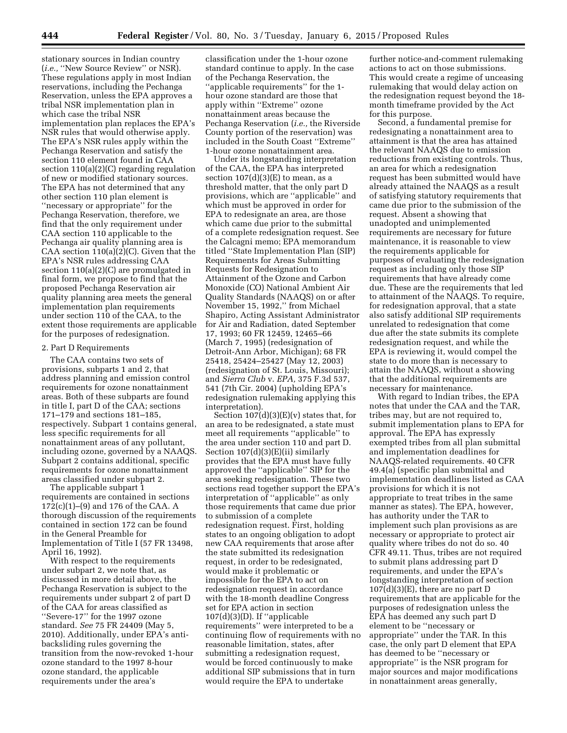stationary sources in Indian country (*i.e.,* ''New Source Review'' or NSR). These regulations apply in most Indian reservations, including the Pechanga Reservation, unless the EPA approves a tribal NSR implementation plan in which case the tribal NSR implementation plan replaces the EPA's NSR rules that would otherwise apply. The EPA's NSR rules apply within the Pechanga Reservation and satisfy the section 110 element found in CAA section 110(a)(2)(C) regarding regulation of new or modified stationary sources. The EPA has not determined that any other section 110 plan element is ''necessary or appropriate'' for the Pechanga Reservation, therefore, we find that the only requirement under CAA section 110 applicable to the Pechanga air quality planning area is CAA section 110(a)(2)(C). Given that the EPA's NSR rules addressing CAA section 110(a)(2)(C) are promulgated in final form, we propose to find that the proposed Pechanga Reservation air quality planning area meets the general implementation plan requirements under section 110 of the CAA, to the extent those requirements are applicable for the purposes of redesignation.

#### 2. Part D Requirements

The CAA contains two sets of provisions, subparts 1 and 2, that address planning and emission control requirements for ozone nonattainment areas. Both of these subparts are found in title I, part D of the CAA; sections 171–179 and sections 181–185, respectively. Subpart 1 contains general, less specific requirements for all nonattainment areas of any pollutant, including ozone, governed by a NAAQS. Subpart 2 contains additional, specific requirements for ozone nonattainment areas classified under subpart 2.

The applicable subpart 1 requirements are contained in sections 172(c)(1)–(9) and 176 of the CAA. A thorough discussion of the requirements contained in section 172 can be found in the General Preamble for Implementation of Title I (57 FR 13498, April 16, 1992).

With respect to the requirements under subpart 2, we note that, as discussed in more detail above, the Pechanga Reservation is subject to the requirements under subpart 2 of part D of the CAA for areas classified as ''Severe-17'' for the 1997 ozone standard. *See* 75 FR 24409 (May 5, 2010). Additionally, under EPA's antibacksliding rules governing the transition from the now-revoked 1-hour ozone standard to the 1997 8-hour ozone standard, the applicable requirements under the area's

classification under the 1-hour ozone standard continue to apply. In the case of the Pechanga Reservation, the ''applicable requirements'' for the 1 hour ozone standard are those that apply within ''Extreme'' ozone nonattainment areas because the Pechanga Reservation (*i.e.,* the Riverside County portion of the reservation) was included in the South Coast ''Extreme'' 1-hour ozone nonattainment area.

Under its longstanding interpretation of the CAA, the EPA has interpreted section  $107(d)(3)(E)$  to mean, as a threshold matter, that the only part D provisions, which are ''applicable'' and which must be approved in order for EPA to redesignate an area, are those which came due prior to the submittal of a complete redesignation request. See the Calcagni memo; EPA memorandum titled ''State Implementation Plan (SIP) Requirements for Areas Submitting Requests for Redesignation to Attainment of the Ozone and Carbon Monoxide (CO) National Ambient Air Quality Standards (NAAQS) on or after November 15, 1992,'' from Michael Shapiro, Acting Assistant Administrator for Air and Radiation, dated September 17, 1993; 60 FR 12459, 12465–66 (March 7, 1995) (redesignation of Detroit-Ann Arbor, Michigan); 68 FR 25418, 25424–25427 (May 12, 2003) (redesignation of St. Louis, Missouri); and *Sierra Club* v. *EPA,* 375 F.3d 537, 541 (7th Cir. 2004) (upholding EPA's redesignation rulemaking applying this interpretation).

Section 107(d)(3)(E)(v) states that, for an area to be redesignated, a state must meet all requirements ''applicable'' to the area under section 110 and part D. Section 107(d)(3)(E)(ii) similarly provides that the EPA must have fully approved the ''applicable'' SIP for the area seeking redesignation. These two sections read together support the EPA's interpretation of ''applicable'' as only those requirements that came due prior to submission of a complete redesignation request. First, holding states to an ongoing obligation to adopt new CAA requirements that arose after the state submitted its redesignation request, in order to be redesignated, would make it problematic or impossible for the EPA to act on redesignation request in accordance with the 18-month deadline Congress set for EPA action in section  $107(d)(3)(D)$ . If "applicable" requirements'' were interpreted to be a continuing flow of requirements with no reasonable limitation, states, after submitting a redesignation request, would be forced continuously to make additional SIP submissions that in turn would require the EPA to undertake

further notice-and-comment rulemaking actions to act on those submissions. This would create a regime of unceasing rulemaking that would delay action on the redesignation request beyond the 18 month timeframe provided by the Act for this purpose.

Second, a fundamental premise for redesignating a nonattainment area to attainment is that the area has attained the relevant NAAQS due to emission reductions from existing controls. Thus, an area for which a redesignation request has been submitted would have already attained the NAAQS as a result of satisfying statutory requirements that came due prior to the submission of the request. Absent a showing that unadopted and unimplemented requirements are necessary for future maintenance, it is reasonable to view the requirements applicable for purposes of evaluating the redesignation request as including only those SIP requirements that have already come due. These are the requirements that led to attainment of the NAAQS. To require, for redesignation approval, that a state also satisfy additional SIP requirements unrelated to redesignation that come due after the state submits its complete redesignation request, and while the EPA is reviewing it, would compel the state to do more than is necessary to attain the NAAQS, without a showing that the additional requirements are necessary for maintenance.

With regard to Indian tribes, the EPA notes that under the CAA and the TAR, tribes may, but are not required to, submit implementation plans to EPA for approval. The EPA has expressly exempted tribes from all plan submittal and implementation deadlines for NAAQS-related requirements. 40 CFR 49.4(a) (specific plan submittal and implementation deadlines listed as CAA provisions for which it is not appropriate to treat tribes in the same manner as states). The EPA, however, has authority under the TAR to implement such plan provisions as are necessary or appropriate to protect air quality where tribes do not do so. 40 CFR 49.11. Thus, tribes are not required to submit plans addressing part D requirements, and under the EPA's longstanding interpretation of section  $107(d)(3)(E)$ , there are no part D requirements that are applicable for the purposes of redesignation unless the EPA has deemed any such part D element to be ''necessary or appropriate'' under the TAR. In this case, the only part D element that EPA has deemed to be ''necessary or appropriate'' is the NSR program for major sources and major modifications in nonattainment areas generally,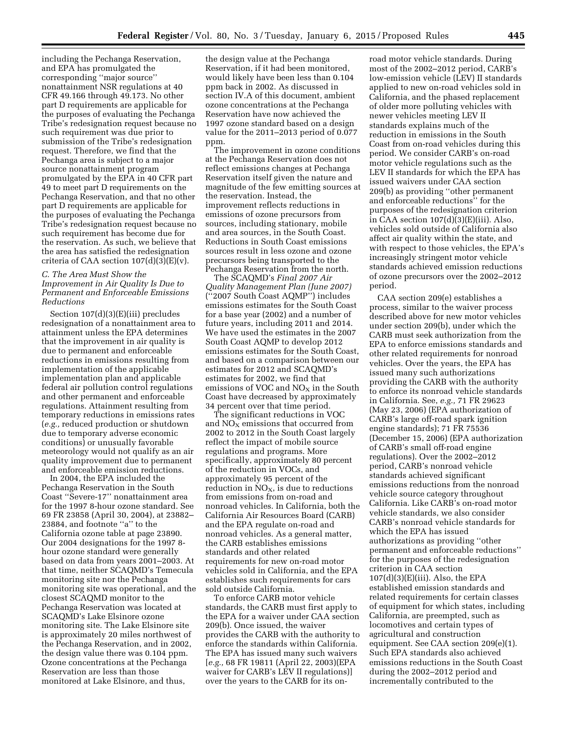including the Pechanga Reservation, and EPA has promulgated the corresponding ''major source'' nonattainment NSR regulations at 40 CFR 49.166 through 49.173. No other part D requirements are applicable for the purposes of evaluating the Pechanga Tribe's redesignation request because no such requirement was due prior to submission of the Tribe's redesignation request. Therefore, we find that the Pechanga area is subject to a major source nonattainment program promulgated by the EPA in 40 CFR part 49 to meet part D requirements on the Pechanga Reservation, and that no other part D requirements are applicable for the purposes of evaluating the Pechanga Tribe's redesignation request because no such requirement has become due for the reservation. As such, we believe that the area has satisfied the redesignation criteria of CAA section  $107(d)(3)(E)(v)$ .

# *C. The Area Must Show the*

# *Improvement in Air Quality Is Due to Permanent and Enforceable Emissions Reductions*

Section 107(d)(3)(E)(iii) precludes redesignation of a nonattainment area to attainment unless the EPA determines that the improvement in air quality is due to permanent and enforceable reductions in emissions resulting from implementation of the applicable implementation plan and applicable federal air pollution control regulations and other permanent and enforceable regulations. Attainment resulting from temporary reductions in emissions rates (*e.g.,* reduced production or shutdown due to temporary adverse economic conditions) or unusually favorable meteorology would not qualify as an air quality improvement due to permanent and enforceable emission reductions.

In 2004, the EPA included the Pechanga Reservation in the South Coast ''Severe-17'' nonattainment area for the 1997 8-hour ozone standard. See 69 FR 23858 (April 30, 2004), at 23882– 23884, and footnote ''a'' to the California ozone table at page 23890. Our 2004 designations for the 1997 8 hour ozone standard were generally based on data from years 2001–2003. At that time, neither SCAQMD's Temecula monitoring site nor the Pechanga monitoring site was operational, and the closest SCAQMD monitor to the Pechanga Reservation was located at SCAQMD's Lake Elsinore ozone monitoring site. The Lake Elsinore site is approximately 20 miles northwest of the Pechanga Reservation, and in 2002, the design value there was 0.104 ppm. Ozone concentrations at the Pechanga Reservation are less than those monitored at Lake Elsinore, and thus,

the design value at the Pechanga Reservation, if it had been monitored, would likely have been less than 0.104 ppm back in 2002. As discussed in section IV.A of this document, ambient ozone concentrations at the Pechanga Reservation have now achieved the 1997 ozone standard based on a design value for the 2011–2013 period of 0.077 ppm.

The improvement in ozone conditions at the Pechanga Reservation does not reflect emissions changes at Pechanga Reservation itself given the nature and magnitude of the few emitting sources at the reservation. Instead, the improvement reflects reductions in emissions of ozone precursors from sources, including stationary, mobile and area sources, in the South Coast. Reductions in South Coast emissions sources result in less ozone and ozone precursors being transported to the Pechanga Reservation from the north.

The SCAQMD's *Final 2007 Air Quality Management Plan (June 2007)*  (''2007 South Coast AQMP'') includes emissions estimates for the South Coast for a base year (2002) and a number of future years, including 2011 and 2014. We have used the estimates in the 2007 South Coast AQMP to develop 2012 emissions estimates for the South Coast, and based on a comparison between our estimates for 2012 and SCAQMD's estimates for 2002, we find that emissions of VOC and  $NO<sub>X</sub>$  in the South Coast have decreased by approximately 34 percent over that time period.

The significant reductions in VOC and  $NO<sub>X</sub>$  emissions that occurred from 2002 to 2012 in the South Coast largely reflect the impact of mobile source regulations and programs. More specifically, approximately 80 percent of the reduction in VOCs, and approximately 95 percent of the reduction in  $NO<sub>x</sub>$ , is due to reductions from emissions from on-road and nonroad vehicles. In California, both the California Air Resources Board (CARB) and the EPA regulate on-road and nonroad vehicles. As a general matter, the CARB establishes emissions standards and other related requirements for new on-road motor vehicles sold in California, and the EPA establishes such requirements for cars sold outside California.

To enforce CARB motor vehicle standards, the CARB must first apply to the EPA for a waiver under CAA section 209(b). Once issued, the waiver provides the CARB with the authority to enforce the standards within California. The EPA has issued many such waivers [*e.g.,* 68 FR 19811 (April 22, 2003)(EPA waiver for CARB's LEV II regulations)] over the years to the CARB for its onroad motor vehicle standards. During most of the 2002–2012 period, CARB's low-emission vehicle (LEV) II standards applied to new on-road vehicles sold in California, and the phased replacement of older more polluting vehicles with newer vehicles meeting LEV II standards explains much of the reduction in emissions in the South Coast from on-road vehicles during this period. We consider CARB's on-road motor vehicle regulations such as the LEV II standards for which the EPA has issued waivers under CAA section 209(b) as providing ''other permanent and enforceable reductions'' for the purposes of the redesignation criterion in CAA section  $107(d)(3)(E)(iii)$ . Also, vehicles sold outside of California also affect air quality within the state, and with respect to those vehicles, the EPA's increasingly stringent motor vehicle standards achieved emission reductions of ozone precursors over the 2002–2012 period.

CAA section 209(e) establishes a process, similar to the waiver process described above for new motor vehicles under section 209(b), under which the CARB must seek authorization from the EPA to enforce emissions standards and other related requirements for nonroad vehicles. Over the years, the EPA has issued many such authorizations providing the CARB with the authority to enforce its nonroad vehicle standards in California. See, *e.g.,* 71 FR 29623 (May 23, 2006) (EPA authorization of CARB's large off-road spark ignition engine standards); 71 FR 75536 (December 15, 2006) (EPA authorization of CARB's small off-road engine regulations). Over the 2002–2012 period, CARB's nonroad vehicle standards achieved significant emissions reductions from the nonroad vehicle source category throughout California. Like CARB's on-road motor vehicle standards, we also consider CARB's nonroad vehicle standards for which the EPA has issued authorizations as providing ''other permanent and enforceable reductions'' for the purposes of the redesignation criterion in CAA section  $107(d)(3)(E)(iii)$ . Also, the EPA established emission standards and related requirements for certain classes of equipment for which states, including California, are preempted, such as locomotives and certain types of agricultural and construction equipment. See CAA section 209(e)(1). Such EPA standards also achieved emissions reductions in the South Coast during the 2002–2012 period and incrementally contributed to the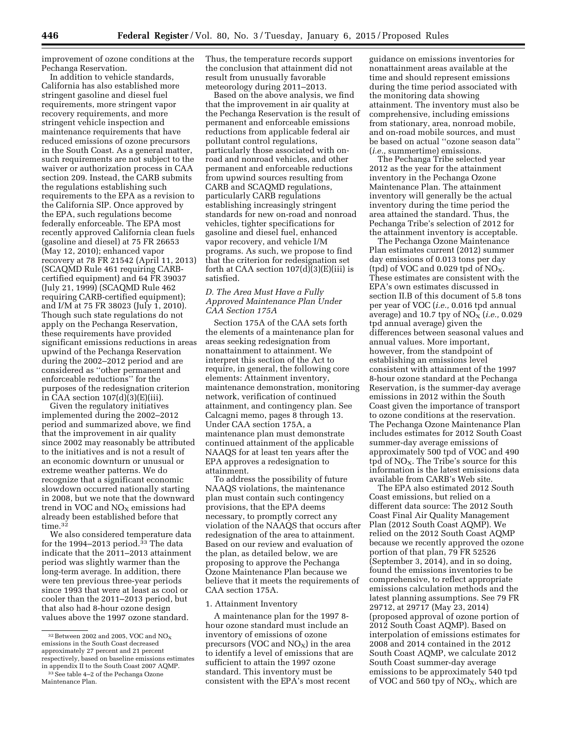improvement of ozone conditions at the Pechanga Reservation.

In addition to vehicle standards, California has also established more stringent gasoline and diesel fuel requirements, more stringent vapor recovery requirements, and more stringent vehicle inspection and maintenance requirements that have reduced emissions of ozone precursors in the South Coast. As a general matter, such requirements are not subject to the waiver or authorization process in CAA section 209. Instead, the CARB submits the regulations establishing such requirements to the EPA as a revision to the California SIP. Once approved by the EPA, such regulations become federally enforceable. The EPA most recently approved California clean fuels (gasoline and diesel) at 75 FR 26653 (May 12, 2010); enhanced vapor recovery at 78 FR 21542 (April 11, 2013) (SCAQMD Rule 461 requiring CARBcertified equipment) and 64 FR 39037 (July 21, 1999) (SCAQMD Rule 462 requiring CARB-certified equipment); and I/M at 75 FR 38023 (July 1, 2010). Though such state regulations do not apply on the Pechanga Reservation, these requirements have provided significant emissions reductions in areas upwind of the Pechanga Reservation during the 2002–2012 period and are considered as ''other permanent and enforceable reductions'' for the purposes of the redesignation criterion in CAA section  $107(d)(3)(E)(iii)$ .

Given the regulatory initiatives implemented during the 2002–2012 period and summarized above, we find that the improvement in air quality since 2002 may reasonably be attributed to the initiatives and is not a result of an economic downturn or unusual or extreme weather patterns. We do recognize that a significant economic slowdown occurred nationally starting in 2008, but we note that the downward trend in VOC and  $NO<sub>X</sub>$  emissions had already been established before that time.<sup>32</sup>

We also considered temperature data for the 1994–2013 period.<sup>33</sup> The data indicate that the 2011–2013 attainment period was slightly warmer than the long-term average. In addition, there were ten previous three-year periods since 1993 that were at least as cool or cooler than the 2011–2013 period, but that also had 8-hour ozone design values above the 1997 ozone standard.

```
Maintenance Plan.
```
Thus, the temperature records support the conclusion that attainment did not result from unusually favorable meteorology during 2011–2013.

Based on the above analysis, we find that the improvement in air quality at the Pechanga Reservation is the result of permanent and enforceable emissions reductions from applicable federal air pollutant control regulations, particularly those associated with onroad and nonroad vehicles, and other permanent and enforceable reductions from upwind sources resulting from CARB and SCAQMD regulations, particularly CARB regulations establishing increasingly stringent standards for new on-road and nonroad vehicles, tighter specifications for gasoline and diesel fuel, enhanced vapor recovery, and vehicle I/M programs. As such, we propose to find that the criterion for redesignation set forth at CAA section 107(d)(3)(E)(iii) is satisfied.

#### *D. The Area Must Have a Fully Approved Maintenance Plan Under CAA Section 175A*

Section 175A of the CAA sets forth the elements of a maintenance plan for areas seeking redesignation from nonattainment to attainment. We interpret this section of the Act to require, in general, the following core elements: Attainment inventory, maintenance demonstration, monitoring network, verification of continued attainment, and contingency plan. See Calcagni memo, pages 8 through 13. Under CAA section 175A, a maintenance plan must demonstrate continued attainment of the applicable NAAQS for at least ten years after the EPA approves a redesignation to attainment.

To address the possibility of future NAAQS violations, the maintenance plan must contain such contingency provisions, that the EPA deems necessary, to promptly correct any violation of the NAAQS that occurs after redesignation of the area to attainment. Based on our review and evaluation of the plan, as detailed below, we are proposing to approve the Pechanga Ozone Maintenance Plan because we believe that it meets the requirements of CAA section 175A.

#### 1. Attainment Inventory

A maintenance plan for the 1997 8 hour ozone standard must include an inventory of emissions of ozone precursors (VOC and  $NO<sub>x</sub>$ ) in the area to identify a level of emissions that are sufficient to attain the 1997 ozone standard. This inventory must be consistent with the EPA's most recent

guidance on emissions inventories for nonattainment areas available at the time and should represent emissions during the time period associated with the monitoring data showing attainment. The inventory must also be comprehensive, including emissions from stationary, area, nonroad mobile, and on-road mobile sources, and must be based on actual ''ozone season data'' (*i.e.,* summertime) emissions.

The Pechanga Tribe selected year 2012 as the year for the attainment inventory in the Pechanga Ozone Maintenance Plan. The attainment inventory will generally be the actual inventory during the time period the area attained the standard. Thus, the Pechanga Tribe's selection of 2012 for the attainment inventory is acceptable.

The Pechanga Ozone Maintenance Plan estimates current (2012) summer day emissions of 0.013 tons per day (tpd) of VOC and  $0.029$  tpd of NO<sub>x</sub>. These estimates are consistent with the EPA's own estimates discussed in section II.B of this document of 5.8 tons per year of VOC (*i.e.,* 0.016 tpd annual average) and 10.7 tpy of NO<sub>X</sub> (*i.e.*, 0.029 tpd annual average) given the differences between seasonal values and annual values. More important, however, from the standpoint of establishing an emissions level consistent with attainment of the 1997 8-hour ozone standard at the Pechanga Reservation, is the summer-day average emissions in 2012 within the South Coast given the importance of transport to ozone conditions at the reservation. The Pechanga Ozone Maintenance Plan includes estimates for 2012 South Coast summer-day average emissions of approximately 500 tpd of VOC and 490 tpd of  $NO<sub>X</sub>$ . The Tribe's source for this information is the latest emissions data available from CARB's Web site.

The EPA also estimated 2012 South Coast emissions, but relied on a different data source: The 2012 South Coast Final Air Quality Management Plan (2012 South Coast AQMP). We relied on the 2012 South Coast AQMP because we recently approved the ozone portion of that plan, 79 FR 52526 (September 3, 2014), and in so doing, found the emissions inventories to be comprehensive, to reflect appropriate emissions calculation methods and the latest planning assumptions. See 79 FR 29712, at 29717 (May 23, 2014) (proposed approval of ozone portion of 2012 South Coast AQMP). Based on interpolation of emissions estimates for 2008 and 2014 contained in the 2012 South Coast AQMP, we calculate 2012 South Coast summer-day average emissions to be approximately 540 tpd of VOC and 560 tpy of  $NO<sub>X</sub>$ , which are

 $32$  Between 2002 and 2005, VOC and NO<sub>X</sub> emissions in the South Coast decreased approximately 27 percent and 21 percent respectively, based on baseline emissions estimates in appendix II to the South Coast 2007 AQMP. 33See table 4–2 of the Pechanga Ozone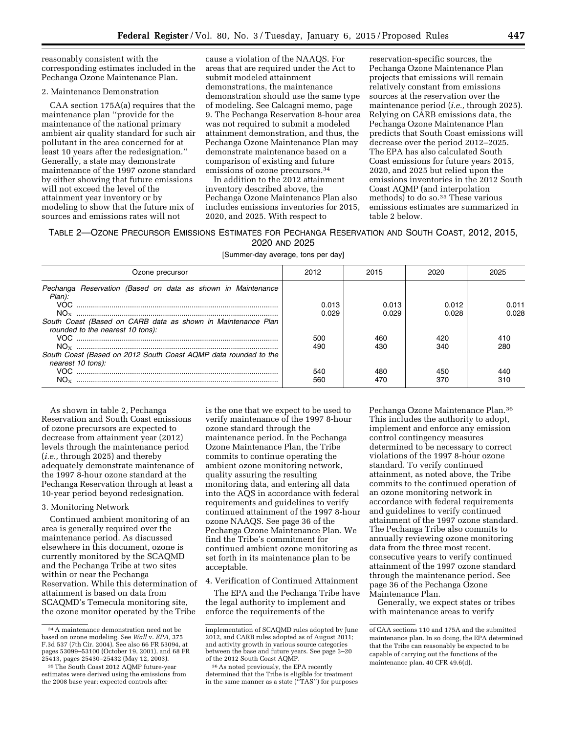reasonably consistent with the corresponding estimates included in the Pechanga Ozone Maintenance Plan.

#### 2. Maintenance Demonstration

CAA section 175A(a) requires that the maintenance plan ''provide for the maintenance of the national primary ambient air quality standard for such air pollutant in the area concerned for at least 10 years after the redesignation.'' Generally, a state may demonstrate maintenance of the 1997 ozone standard by either showing that future emissions will not exceed the level of the attainment year inventory or by modeling to show that the future mix of sources and emissions rates will not

cause a violation of the NAAQS. For areas that are required under the Act to submit modeled attainment demonstrations, the maintenance demonstration should use the same type of modeling. See Calcagni memo, page 9. The Pechanga Reservation 8-hour area was not required to submit a modeled attainment demonstration, and thus, the Pechanga Ozone Maintenance Plan may demonstrate maintenance based on a comparison of existing and future emissions of ozone precursors.34

In addition to the 2012 attainment inventory described above, the Pechanga Ozone Maintenance Plan also includes emissions inventories for 2015, 2020, and 2025. With respect to

reservation-specific sources, the Pechanga Ozone Maintenance Plan projects that emissions will remain relatively constant from emissions sources at the reservation over the maintenance period (*i.e.,* through 2025). Relying on CARB emissions data, the Pechanga Ozone Maintenance Plan predicts that South Coast emissions will decrease over the period 2012–2025. The EPA has also calculated South Coast emissions for future years 2015, 2020, and 2025 but relied upon the emissions inventories in the 2012 South Coast AQMP (and interpolation methods) to do so.35 These various emissions estimates are summarized in table 2 below.

# TABLE 2—OZONE PRECURSOR EMISSIONS ESTIMATES FOR PECHANGA RESERVATION AND SOUTH COAST, 2012, 2015,

2020 AND 2025

[Summer-day average, tons per day]

| Ozone precursor                                                                                  | 2012           | 2015           | 2020           | 2025           |
|--------------------------------------------------------------------------------------------------|----------------|----------------|----------------|----------------|
| Pechanga Reservation (Based on data as shown in Maintenance<br>Plan):                            | 0.013<br>0.029 | 0.013<br>0.029 | 0.012<br>0.028 | N N 1<br>0.028 |
| South Coast (Based on CARB data as shown in Maintenance Plan<br>rounded to the nearest 10 tons): | 500            | 460            | 420            | 410            |
| South Coast (Based on 2012 South Coast AQMP data rounded to the<br>nearest 10 tons):             | 490            | 430            | 340            | 280            |
| $NO_{Y}$                                                                                         | 540<br>560     | 480            | 450<br>370     |                |

As shown in table 2, Pechanga Reservation and South Coast emissions of ozone precursors are expected to decrease from attainment year (2012) levels through the maintenance period (*i.e.,* through 2025) and thereby adequately demonstrate maintenance of the 1997 8-hour ozone standard at the Pechanga Reservation through at least a 10-year period beyond redesignation.

## 3. Monitoring Network

Continued ambient monitoring of an area is generally required over the maintenance period. As discussed elsewhere in this document, ozone is currently monitored by the SCAQMD and the Pechanga Tribe at two sites within or near the Pechanga Reservation. While this determination of attainment is based on data from SCAQMD's Temecula monitoring site, the ozone monitor operated by the Tribe

is the one that we expect to be used to verify maintenance of the 1997 8-hour ozone standard through the maintenance period. In the Pechanga Ozone Maintenance Plan, the Tribe commits to continue operating the ambient ozone monitoring network, quality assuring the resulting monitoring data, and entering all data into the AQS in accordance with federal requirements and guidelines to verify continued attainment of the 1997 8-hour ozone NAAQS. See page 36 of the Pechanga Ozone Maintenance Plan. We find the Tribe's commitment for continued ambient ozone monitoring as set forth in its maintenance plan to be acceptable.

#### 4. Verification of Continued Attainment

The EPA and the Pechanga Tribe have the legal authority to implement and enforce the requirements of the

Pechanga Ozone Maintenance Plan.36 This includes the authority to adopt, implement and enforce any emission control contingency measures determined to be necessary to correct violations of the 1997 8-hour ozone standard. To verify continued attainment, as noted above, the Tribe commits to the continued operation of an ozone monitoring network in accordance with federal requirements and guidelines to verify continued attainment of the 1997 ozone standard. The Pechanga Tribe also commits to annually reviewing ozone monitoring data from the three most recent, consecutive years to verify continued attainment of the 1997 ozone standard through the maintenance period. See page 36 of the Pechanga Ozone Maintenance Plan.

Generally, we expect states or tribes with maintenance areas to verify

<sup>34</sup>A maintenance demonstration need not be based on ozone modeling. See *Wall* v. *EPA,* 375 F.3d 537 (7th Cir. 2004). See also 66 FR 53094, at pages 53099–53100 (October 19, 2001), and 68 FR 25413, pages 25430–25432 (May 12, 2003).

<sup>35</sup>The South Coast 2012 AQMP future-year estimates were derived using the emissions from the 2008 base year; expected controls after

implementation of SCAQMD rules adopted by June 2012, and CARB rules adopted as of August 2011; and activity growth in various source categories between the base and future years. See page 3–20 of the 2012 South Coast AQMP.

<sup>36</sup>As noted previously, the EPA recently determined that the Tribe is eligible for treatment in the same manner as a state (''TAS'') for purposes

of CAA sections 110 and 175A and the submitted maintenance plan. In so doing, the EPA determined that the Tribe can reasonably be expected to be capable of carrying out the functions of the maintenance plan. 40 CFR 49.6(d).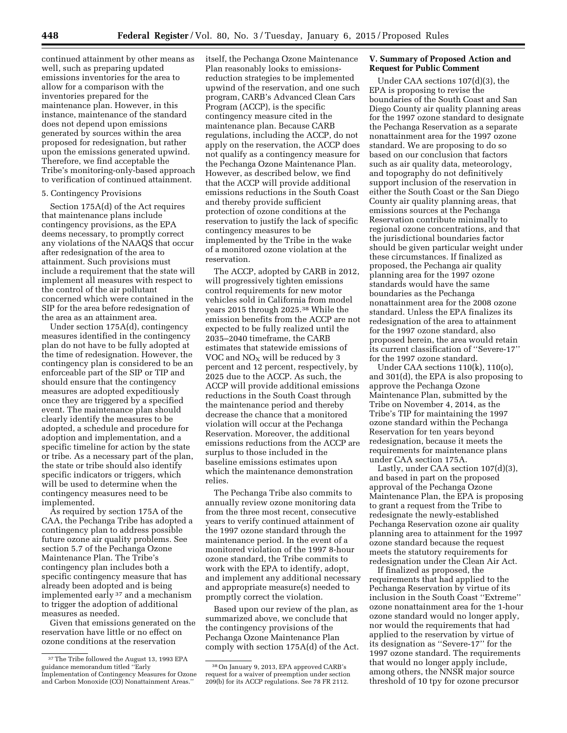continued attainment by other means as well, such as preparing updated emissions inventories for the area to allow for a comparison with the inventories prepared for the maintenance plan. However, in this instance, maintenance of the standard does not depend upon emissions generated by sources within the area proposed for redesignation, but rather upon the emissions generated upwind. Therefore, we find acceptable the Tribe's monitoring-only-based approach to verification of continued attainment.

# 5. Contingency Provisions

Section 175A(d) of the Act requires that maintenance plans include contingency provisions, as the EPA deems necessary, to promptly correct any violations of the NAAQS that occur after redesignation of the area to attainment. Such provisions must include a requirement that the state will implement all measures with respect to the control of the air pollutant concerned which were contained in the SIP for the area before redesignation of the area as an attainment area.

Under section 175A(d), contingency measures identified in the contingency plan do not have to be fully adopted at the time of redesignation. However, the contingency plan is considered to be an enforceable part of the SIP or TIP and should ensure that the contingency measures are adopted expeditiously once they are triggered by a specified event. The maintenance plan should clearly identify the measures to be adopted, a schedule and procedure for adoption and implementation, and a specific timeline for action by the state or tribe. As a necessary part of the plan, the state or tribe should also identify specific indicators or triggers, which will be used to determine when the contingency measures need to be implemented.

As required by section 175A of the CAA, the Pechanga Tribe has adopted a contingency plan to address possible future ozone air quality problems. See section 5.7 of the Pechanga Ozone Maintenance Plan. The Tribe's contingency plan includes both a specific contingency measure that has already been adopted and is being implemented early 37 and a mechanism to trigger the adoption of additional measures as needed.

Given that emissions generated on the reservation have little or no effect on ozone conditions at the reservation

itself, the Pechanga Ozone Maintenance Plan reasonably looks to emissionsreduction strategies to be implemented upwind of the reservation, and one such program, CARB's Advanced Clean Cars Program (ACCP), is the specific contingency measure cited in the maintenance plan. Because CARB regulations, including the ACCP, do not apply on the reservation, the ACCP does not qualify as a contingency measure for the Pechanga Ozone Maintenance Plan. However, as described below, we find that the ACCP will provide additional emissions reductions in the South Coast and thereby provide sufficient protection of ozone conditions at the reservation to justify the lack of specific contingency measures to be implemented by the Tribe in the wake of a monitored ozone violation at the reservation.

The ACCP, adopted by CARB in 2012, will progressively tighten emissions control requirements for new motor vehicles sold in California from model years 2015 through 2025.38 While the emission benefits from the ACCP are not expected to be fully realized until the 2035–2040 timeframe, the CARB estimates that statewide emissions of VOC and  $NO<sub>x</sub>$  will be reduced by 3 percent and 12 percent, respectively, by 2025 due to the ACCP. As such, the ACCP will provide additional emissions reductions in the South Coast through the maintenance period and thereby decrease the chance that a monitored violation will occur at the Pechanga Reservation. Moreover, the additional emissions reductions from the ACCP are surplus to those included in the baseline emissions estimates upon which the maintenance demonstration relies.

The Pechanga Tribe also commits to annually review ozone monitoring data from the three most recent, consecutive years to verify continued attainment of the 1997 ozone standard through the maintenance period. In the event of a monitored violation of the 1997 8-hour ozone standard, the Tribe commits to work with the EPA to identify, adopt, and implement any additional necessary and appropriate measure(s) needed to promptly correct the violation.

Based upon our review of the plan, as summarized above, we conclude that the contingency provisions of the Pechanga Ozone Maintenance Plan comply with section 175A(d) of the Act.

# **V. Summary of Proposed Action and Request for Public Comment**

Under CAA sections 107(d)(3), the EPA is proposing to revise the boundaries of the South Coast and San Diego County air quality planning areas for the 1997 ozone standard to designate the Pechanga Reservation as a separate nonattainment area for the 1997 ozone standard. We are proposing to do so based on our conclusion that factors such as air quality data, meteorology, and topography do not definitively support inclusion of the reservation in either the South Coast or the San Diego County air quality planning areas, that emissions sources at the Pechanga Reservation contribute minimally to regional ozone concentrations, and that the jurisdictional boundaries factor should be given particular weight under these circumstances. If finalized as proposed, the Pechanga air quality planning area for the 1997 ozone standards would have the same boundaries as the Pechanga nonattainment area for the 2008 ozone standard. Unless the EPA finalizes its redesignation of the area to attainment for the 1997 ozone standard, also proposed herein, the area would retain its current classification of ''Severe-17'' for the 1997 ozone standard.

Under CAA sections 110(k), 110(o), and 301(d), the EPA is also proposing to approve the Pechanga Ozone Maintenance Plan, submitted by the Tribe on November 4, 2014, as the Tribe's TIP for maintaining the 1997 ozone standard within the Pechanga Reservation for ten years beyond redesignation, because it meets the requirements for maintenance plans under CAA section 175A.

Lastly, under CAA section 107(d)(3), and based in part on the proposed approval of the Pechanga Ozone Maintenance Plan, the EPA is proposing to grant a request from the Tribe to redesignate the newly-established Pechanga Reservation ozone air quality planning area to attainment for the 1997 ozone standard because the request meets the statutory requirements for redesignation under the Clean Air Act.

If finalized as proposed, the requirements that had applied to the Pechanga Reservation by virtue of its inclusion in the South Coast ''Extreme'' ozone nonattainment area for the 1-hour ozone standard would no longer apply, nor would the requirements that had applied to the reservation by virtue of its designation as ''Severe-17'' for the 1997 ozone standard. The requirements that would no longer apply include, among others, the NNSR major source threshold of 10 tpy for ozone precursor

<sup>37</sup>The Tribe followed the August 13, 1993 EPA guidance memorandum titled ''Early Implementation of Contingency Measures for Ozone and Carbon Monoxide (CO) Nonattainment Areas.''

<sup>38</sup>On January 9, 2013, EPA approved CARB's request for a waiver of preemption under section 209(b) for its ACCP regulations. See 78 FR 2112.